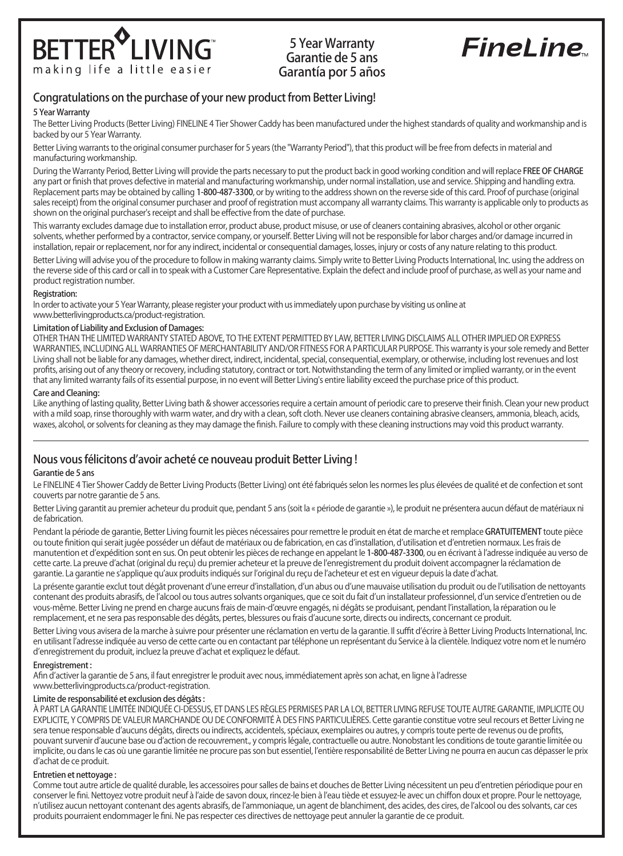

# 5 Year Warranty Garantie de 5 ans Garantía por 5 años

# **FineLine**

# Congratulations on the purchase of your new product from Better Living!

#### 5 Year Warranty

The Better Living Products (Better Living) FINELINE 4 Tier Shower Caddy has been manufactured under the highest standards of quality and workmanship and is backed by our 5 Year Warranty.

Better Living warrants to the original consumer purchaser for 5 years (the "Warranty Period"), that this product will be free from defects in material and manufacturing workmanship.

During the Warranty Period, Better Living will provide the parts necessary to put the product back in good working condition and will replace FREE OF CHARGE any part or finish that proves defective in material and manufacturing workmanship, under normal installation, use and service. Shipping and handling extra. Replacement parts may be obtained by calling 1-800-487-3300, or by writing to the address shown on the reverse side of this card. Proof of purchase (original sales receipt) from the original consumer purchaser and proof of registration must accompany all warranty claims. This warranty is applicable only to products as shown on the original purchaser's receipt and shall be effective from the date of purchase.

This warranty excludes damage due to installation error, product abuse, product misuse, or use of cleaners containing abrasives, alcohol or other organic solvents, whether performed by a contractor, service company, or yourself. Better Living will not be responsible for labor charges and/or damage incurred in installation, repair or replacement, nor for any indirect, incidental or consequential damages, losses, injury or costs of any nature relating to this product.

Better Living will advise you of the procedure to follow in making warranty claims. Simply write to Better Living Products International, Inc. using the address on the reverse side of this card or call in to speak with a Customer Care Representative. Explain the defect and include proof of purchase, as well as your name and product registration number.

#### Registration:

In order to activate your 5 Year Warranty, please register your product with us immediately upon purchase by visiting us online at www.betterlivingproducts.ca/product-registration.

### Limitation of Liability and Exclusion of Damages:

OTHER THAN THE LIMITED WARRANTY STATED ABOVE, TO THE EXTENT PERMITTED BY LAW, BETTER LIVING DISCLAIMS ALL OTHER IMPLIED OR EXPRESS WARRANTIES, INCLUDING ALL WARRANTIES OF MERCHANTABILITY AND/OR FITNESS FOR A PARTICULAR PURPOSE. This warranty is your sole remedy and Better Living shall not be liable for any damages, whether direct, indirect, incidental, special, consequential, exemplary, or otherwise, including lost revenues and lost profits, arising out of any theory or recovery, including statutory, contract or tort. Notwithstanding the term of any limited or implied warranty, or in the event that any limited warranty fails of its essential purpose, in no event will Better Living's entire liability exceed the purchase price of this product.

#### Care and Cleaning:

Like anything of lasting quality, Better Living bath & shower accessories require a certain amount of periodic care to preserve their finish. Clean your new product with a mild soap, rinse thoroughly with warm water, and dry with a clean, soft cloth. Never use cleaners containing abrasive cleansers, ammonia, bleach, acids, waxes, alcohol, or solvents for cleaning as they may damage the finish. Failure to comply with these cleaning instructions may void this product warranty.

## Nous vous félicitons d'avoir acheté ce nouveau produit Better Living !

## Garantie de 5 ans

Le FINELINE 4 Tier Shower Caddy de Better Living Products (Better Living) ont été fabriqués selon les normes les plus élevées de qualité et de confection et sont couverts par notre garantie de 5 ans.

Better Living garantit au premier acheteur du produit que, pendant 5 ans (soit la « période de garantie »), le produit ne présentera aucun défaut de matériaux ni de fabrication.

Pendant la période de garantie, Better Living fournit les pièces nécessaires pour remettre le produit en état de marche et remplace GRATUITEMENT toute pièce ou toute finition qui serait jugée posséder un défaut de matériaux ou de fabrication, en cas d'installation, d'utilisation et d'entretien normaux. Les frais de manutention et d'expédition sont en sus. On peut obtenir les pièces de rechange en appelant le 1-800-487-3300, ou en écrivant à l'adresse indiquée au verso de cette carte. La preuve d'achat (original du reçu) du premier acheteur et la preuve de l'enregistrement du produit doivent accompagner la réclamation de garantie. La garantie ne s'applique qu'aux produits indiqués sur l'original du reçu de l'acheteur et est en vigueur depuis la date d'achat.

La présente garantie exclut tout dégât provenant d'une erreur d'installation, d'un abus ou d'une mauvaise utilisation du produit ou de l'utilisation de nettoyants contenant des produits abrasifs, de l'alcool ou tous autres solvants organiques, que ce soit du fait d'un installateur professionnel, d'un service d'entretien ou de vous-même. Better Living ne prend en charge aucuns frais de main-d'œuvre engagés, ni dégâts se produisant, pendant l'installation, la réparation ou le remplacement, et ne sera pas responsable des dégâts, pertes, blessures ou frais d'aucune sorte, directs ou indirects, concernant ce produit.

Better Living vous avisera de la marche à suivre pour présenter une réclamation en vertu de la garantie. Il suffit d'écrire à Better Living Products International, Inc. en utilisant l'adresse indiquée au verso de cette carte ou en contactant par téléphone un représentant du Service à la clientèle. Indiquez votre nom et le numéro d'enregistrement du produit, incluez la preuve d'achat et expliquez le défaut.

#### Enregistrement :

Afin d'activer la garantie de 5 ans, il faut enregistrer le produit avec nous, immédiatement après son achat, en ligne à l'adresse www.betterlivingproducts.ca/product-registration.

## Limite de responsabilité et exclusion des dégâts :

À PART LA GARANTIE LIMITÉE INDIQUÉE CI-DESSUS, ET DANS LES RÈGLES PERMISES PAR LA LOI, BETTER LIVING REFUSE TOUTE AUTRE GARANTIE, IMPLICITE OU EXPLICITE, Y COMPRIS DE VALEUR MARCHANDE OU DE CONFORMITÉ À DES FINS PARTICULIÈRES. Cette garantie constitue votre seul recours et Better Living ne sera tenue responsable d'aucuns dégâts, directs ou indirects, accidentels, spéciaux, exemplaires ou autres, y compris toute perte de revenus ou de profits, pouvant survenir d'aucune base ou d'action de recouvrement., y compris légale, contractuelle ou autre. Nonobstant les conditions de toute garantie limitée ou implicite, ou dans le cas où une garantie limitée ne procure pas son but essentiel, l'entière responsabilité de Better Living ne pourra en aucun cas dépasser le prix d'achat de ce produit.

#### Entretien et nettoyage :

Comme tout autre article de qualité durable, les accessoires pour salles de bains et douches de Better Living nécessitent un peu d'entretien périodique pour en conserver le fini. Nettoyez votre produit neuf à l'aide de savon doux, rincez-le bien à l'eau tiède et essuyez-le avec un chiffon doux et propre. Pour le nettoyage, n'utilisez aucun nettoyant contenant des agents abrasifs, de l'ammoniaque, un agent de blanchiment, des acides, des cires, de l'alcool ou des solvants, car ces produits pourraient endommager le fini. Ne pas respecter ces directives de nettoyage peut annuler la garantie de ce produit.